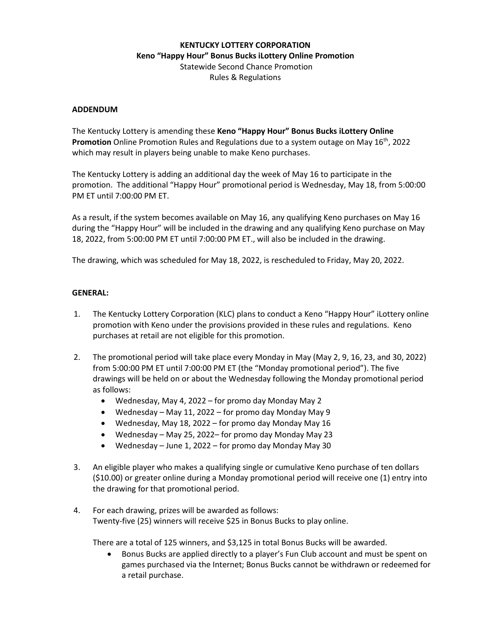# **KENTUCKY LOTTERY CORPORATION Keno "Happy Hour" Bonus Bucks iLottery Online Promotion** Statewide Second Chance Promotion Rules & Regulations

#### **ADDENDUM**

The Kentucky Lottery is amending these **Keno "Happy Hour" Bonus Bucks iLottery Online Promotion** Online Promotion Rules and Regulations due to a system outage on May 16<sup>th</sup>, 2022 which may result in players being unable to make Keno purchases.

The Kentucky Lottery is adding an additional day the week of May 16 to participate in the promotion. The additional "Happy Hour" promotional period is Wednesday, May 18, from 5:00:00 PM ET until 7:00:00 PM ET.

As a result, if the system becomes available on May 16, any qualifying Keno purchases on May 16 during the "Happy Hour" will be included in the drawing and any qualifying Keno purchase on May 18, 2022, from 5:00:00 PM ET until 7:00:00 PM ET., will also be included in the drawing.

The drawing, which was scheduled for May 18, 2022, is rescheduled to Friday, May 20, 2022.

#### **GENERAL:**

- 1. The Kentucky Lottery Corporation (KLC) plans to conduct a Keno "Happy Hour" iLottery online promotion with Keno under the provisions provided in these rules and regulations. Keno purchases at retail are not eligible for this promotion.
- 2. The promotional period will take place every Monday in May (May 2, 9, 16, 23, and 30, 2022) from 5:00:00 PM ET until 7:00:00 PM ET (the "Monday promotional period"). The five drawings will be held on or about the Wednesday following the Monday promotional period as follows:
	- Wednesday, May 4, 2022 for promo day Monday May 2
	- Wednesday May 11, 2022 for promo day Monday May 9
	- Wednesday, May 18, 2022 for promo day Monday May 16
	- Wednesday May 25, 2022– for promo day Monday May 23
	- Wednesday June 1, 2022 for promo day Monday May 30
- 3. An eligible player who makes a qualifying single or cumulative Keno purchase of ten dollars (\$10.00) or greater online during a Monday promotional period will receive one (1) entry into the drawing for that promotional period.
- 4. For each drawing, prizes will be awarded as follows: Twenty-five (25) winners will receive \$25 in Bonus Bucks to play online.

There are a total of 125 winners, and \$3,125 in total Bonus Bucks will be awarded.

• Bonus Bucks are applied directly to a player's Fun Club account and must be spent on games purchased via the Internet; Bonus Bucks cannot be withdrawn or redeemed for a retail purchase.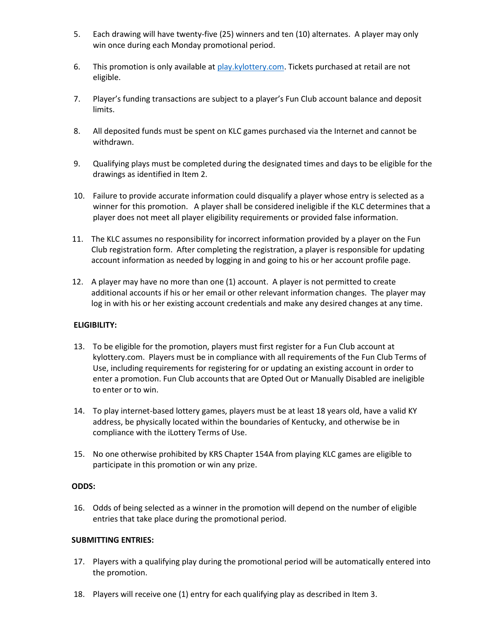- 5. Each drawing will have twenty-five (25) winners and ten (10) alternates. A player may only win once during each Monday promotional period.
- 6. This promotion is only available at [play.kylottery.com.](http://www.kylottery.com/) Tickets purchased at retail are not eligible.
- 7. Player's funding transactions are subject to a player's Fun Club account balance and deposit limits.
- 8. All deposited funds must be spent on KLC games purchased via the Internet and cannot be withdrawn.
- 9. Qualifying plays must be completed during the designated times and days to be eligible for the drawings as identified in Item 2.
- 10. Failure to provide accurate information could disqualify a player whose entry is selected as a winner for this promotion. A player shall be considered ineligible if the KLC determines that a player does not meet all player eligibility requirements or provided false information.
- 11. The KLC assumes no responsibility for incorrect information provided by a player on the Fun Club registration form. After completing the registration, a player is responsible for updating account information as needed by logging in and going to his or her account profile page.
- 12. A player may have no more than one (1) account. A player is not permitted to create additional accounts if his or her email or other relevant information changes. The player may log in with his or her existing account credentials and make any desired changes at any time.

# **ELIGIBILITY:**

- 13. To be eligible for the promotion, players must first register for a Fun Club account at kylottery.com. Players must be in compliance with all requirements of the Fun Club Terms of Use, including requirements for registering for or updating an existing account in order to enter a promotion. Fun Club accounts that are Opted Out or Manually Disabled are ineligible to enter or to win.
- 14. To play internet-based lottery games, players must be at least 18 years old, have a valid KY address, be physically located within the boundaries of Kentucky, and otherwise be in compliance with the iLottery Terms of Use.
- 15. No one otherwise prohibited by KRS Chapter 154A from playing KLC games are eligible to participate in this promotion or win any prize.

# **ODDS:**

16. Odds of being selected as a winner in the promotion will depend on the number of eligible entries that take place during the promotional period.

# **SUBMITTING ENTRIES:**

- 17. Players with a qualifying play during the promotional period will be automatically entered into the promotion.
- 18. Players will receive one (1) entry for each qualifying play as described in Item 3.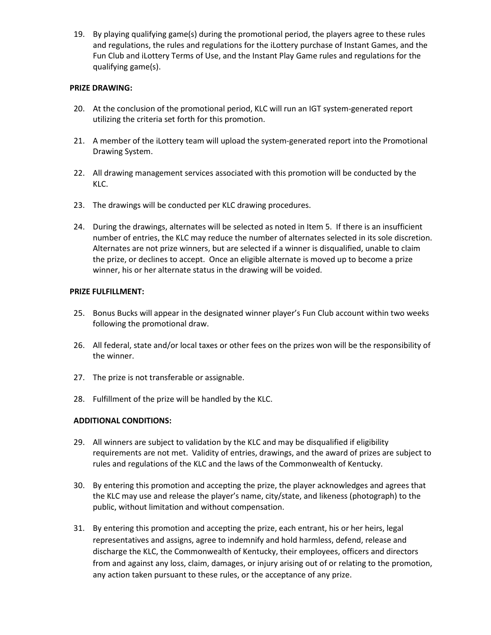19. By playing qualifying game(s) during the promotional period, the players agree to these rules and regulations, the rules and regulations for the iLottery purchase of Instant Games, and the Fun Club and iLottery Terms of Use, and the Instant Play Game rules and regulations for the qualifying game(s).

# **PRIZE DRAWING:**

- 20. At the conclusion of the promotional period, KLC will run an IGT system-generated report utilizing the criteria set forth for this promotion.
- 21. A member of the iLottery team will upload the system-generated report into the Promotional Drawing System.
- 22. All drawing management services associated with this promotion will be conducted by the KLC.
- 23. The drawings will be conducted per KLC drawing procedures.
- 24. During the drawings, alternates will be selected as noted in Item 5. If there is an insufficient number of entries, the KLC may reduce the number of alternates selected in its sole discretion. Alternates are not prize winners, but are selected if a winner is disqualified, unable to claim the prize, or declines to accept. Once an eligible alternate is moved up to become a prize winner, his or her alternate status in the drawing will be voided.

# **PRIZE FULFILLMENT:**

- 25. Bonus Bucks will appear in the designated winner player's Fun Club account within two weeks following the promotional draw.
- 26. All federal, state and/or local taxes or other fees on the prizes won will be the responsibility of the winner.
- 27. The prize is not transferable or assignable.
- 28. Fulfillment of the prize will be handled by the KLC.

# **ADDITIONAL CONDITIONS:**

- 29. All winners are subject to validation by the KLC and may be disqualified if eligibility requirements are not met. Validity of entries, drawings, and the award of prizes are subject to rules and regulations of the KLC and the laws of the Commonwealth of Kentucky.
- 30. By entering this promotion and accepting the prize, the player acknowledges and agrees that the KLC may use and release the player's name, city/state, and likeness (photograph) to the public, without limitation and without compensation.
- 31. By entering this promotion and accepting the prize, each entrant, his or her heirs, legal representatives and assigns, agree to indemnify and hold harmless, defend, release and discharge the KLC, the Commonwealth of Kentucky, their employees, officers and directors from and against any loss, claim, damages, or injury arising out of or relating to the promotion, any action taken pursuant to these rules, or the acceptance of any prize.